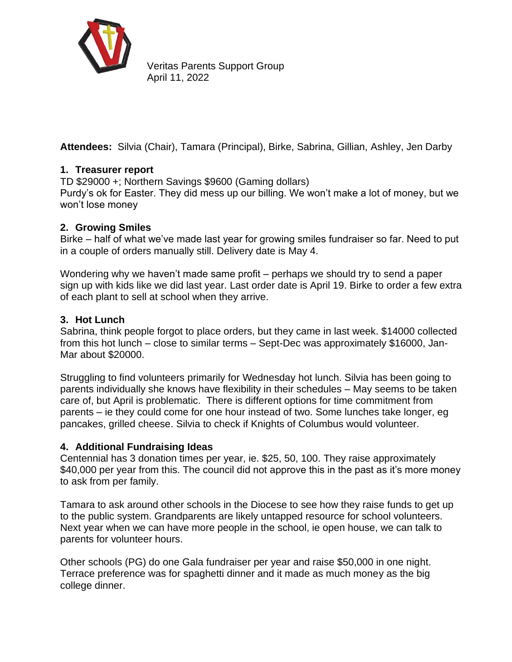

Veritas Parents Support Group April 11, 2022

**Attendees:** Silvia (Chair), Tamara (Principal), Birke, Sabrina, Gillian, Ashley, Jen Darby

# **1. Treasurer report**

TD \$29000 +; Northern Savings \$9600 (Gaming dollars)

Purdy's ok for Easter. They did mess up our billing. We won't make a lot of money, but we won't lose money

## **2. Growing Smiles**

Birke – half of what we've made last year for growing smiles fundraiser so far. Need to put in a couple of orders manually still. Delivery date is May 4.

Wondering why we haven't made same profit – perhaps we should try to send a paper sign up with kids like we did last year. Last order date is April 19. Birke to order a few extra of each plant to sell at school when they arrive.

## **3. Hot Lunch**

Sabrina, think people forgot to place orders, but they came in last week. \$14000 collected from this hot lunch – close to similar terms – Sept-Dec was approximately \$16000, Jan-Mar about \$20000.

Struggling to find volunteers primarily for Wednesday hot lunch. Silvia has been going to parents individually she knows have flexibility in their schedules – May seems to be taken care of, but April is problematic. There is different options for time commitment from parents – ie they could come for one hour instead of two. Some lunches take longer, eg pancakes, grilled cheese. Silvia to check if Knights of Columbus would volunteer.

#### **4. Additional Fundraising Ideas**

Centennial has 3 donation times per year, ie. \$25, 50, 100. They raise approximately \$40,000 per year from this. The council did not approve this in the past as it's more money to ask from per family.

Tamara to ask around other schools in the Diocese to see how they raise funds to get up to the public system. Grandparents are likely untapped resource for school volunteers. Next year when we can have more people in the school, ie open house, we can talk to parents for volunteer hours.

Other schools (PG) do one Gala fundraiser per year and raise \$50,000 in one night. Terrace preference was for spaghetti dinner and it made as much money as the big college dinner.